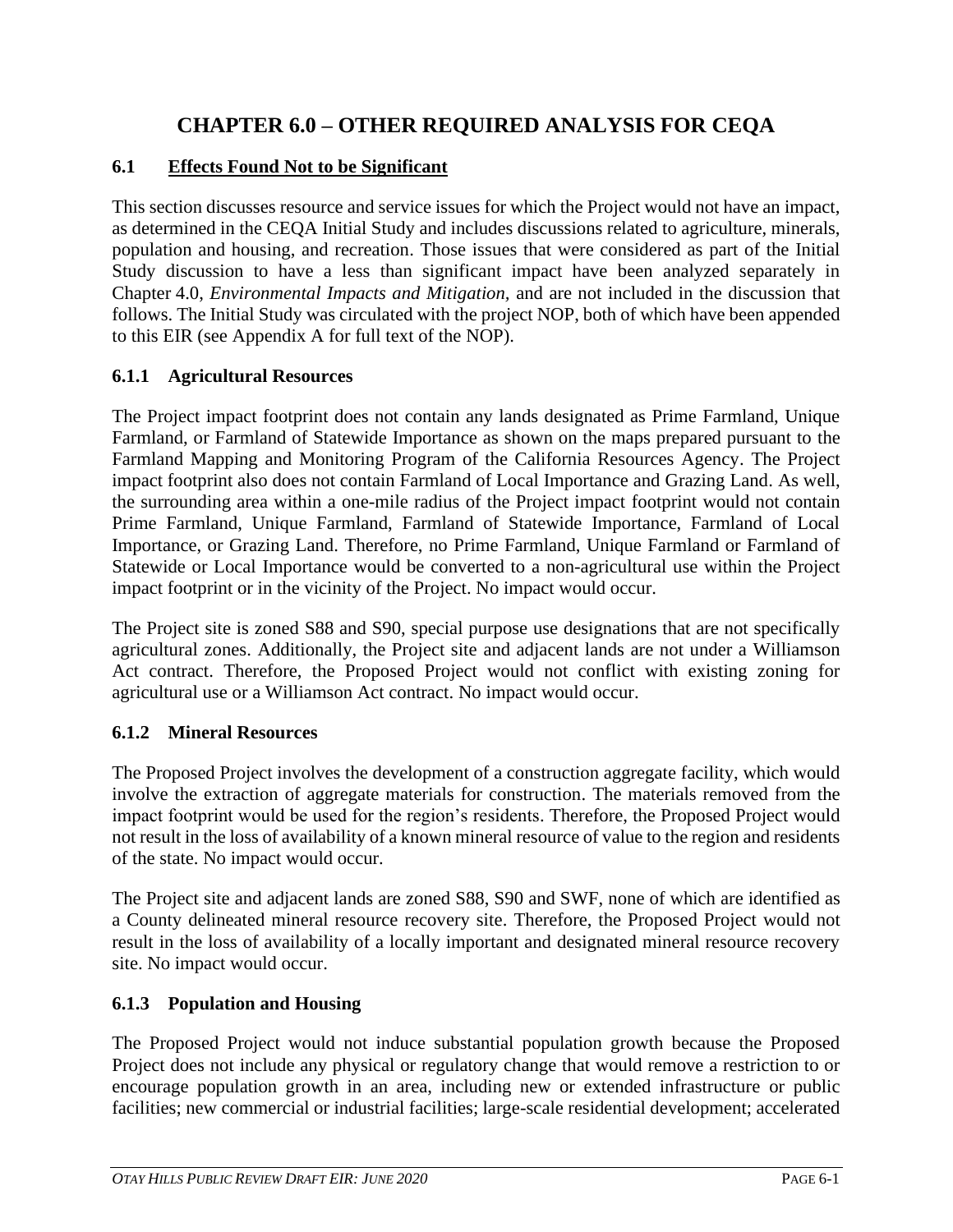# **CHAPTER 6.0 – OTHER REQUIRED ANALYSIS FOR CEQA**

# **6.1 Effects Found Not to be Significant**

This section discusses resource and service issues for which the Project would not have an impact, as determined in the CEQA Initial Study and includes discussions related to agriculture, minerals, population and housing, and recreation. Those issues that were considered as part of the Initial Study discussion to have a less than significant impact have been analyzed separately in Chapter 4.0, *Environmental Impacts and Mitigation,* and are not included in the discussion that follows. The Initial Study was circulated with the project NOP, both of which have been appended to this EIR (see Appendix A for full text of the NOP).

# **6.1.1 Agricultural Resources**

The Project impact footprint does not contain any lands designated as Prime Farmland, Unique Farmland, or Farmland of Statewide Importance as shown on the maps prepared pursuant to the Farmland Mapping and Monitoring Program of the California Resources Agency. The Project impact footprint also does not contain Farmland of Local Importance and Grazing Land. As well, the surrounding area within a one-mile radius of the Project impact footprint would not contain Prime Farmland, Unique Farmland, Farmland of Statewide Importance, Farmland of Local Importance, or Grazing Land. Therefore, no Prime Farmland, Unique Farmland or Farmland of Statewide or Local Importance would be converted to a non-agricultural use within the Project impact footprint or in the vicinity of the Project. No impact would occur.

The Project site is zoned S88 and S90, special purpose use designations that are not specifically agricultural zones. Additionally, the Project site and adjacent lands are not under a Williamson Act contract. Therefore, the Proposed Project would not conflict with existing zoning for agricultural use or a Williamson Act contract. No impact would occur.

### **6.1.2 Mineral Resources**

The Proposed Project involves the development of a construction aggregate facility, which would involve the extraction of aggregate materials for construction. The materials removed from the impact footprint would be used for the region's residents. Therefore, the Proposed Project would not result in the loss of availability of a known mineral resource of value to the region and residents of the state. No impact would occur.

The Project site and adjacent lands are zoned S88, S90 and SWF, none of which are identified as a County delineated mineral resource recovery site. Therefore, the Proposed Project would not result in the loss of availability of a locally important and designated mineral resource recovery site. No impact would occur.

### **6.1.3 Population and Housing**

The Proposed Project would not induce substantial population growth because the Proposed Project does not include any physical or regulatory change that would remove a restriction to or encourage population growth in an area, including new or extended infrastructure or public facilities; new commercial or industrial facilities; large-scale residential development; accelerated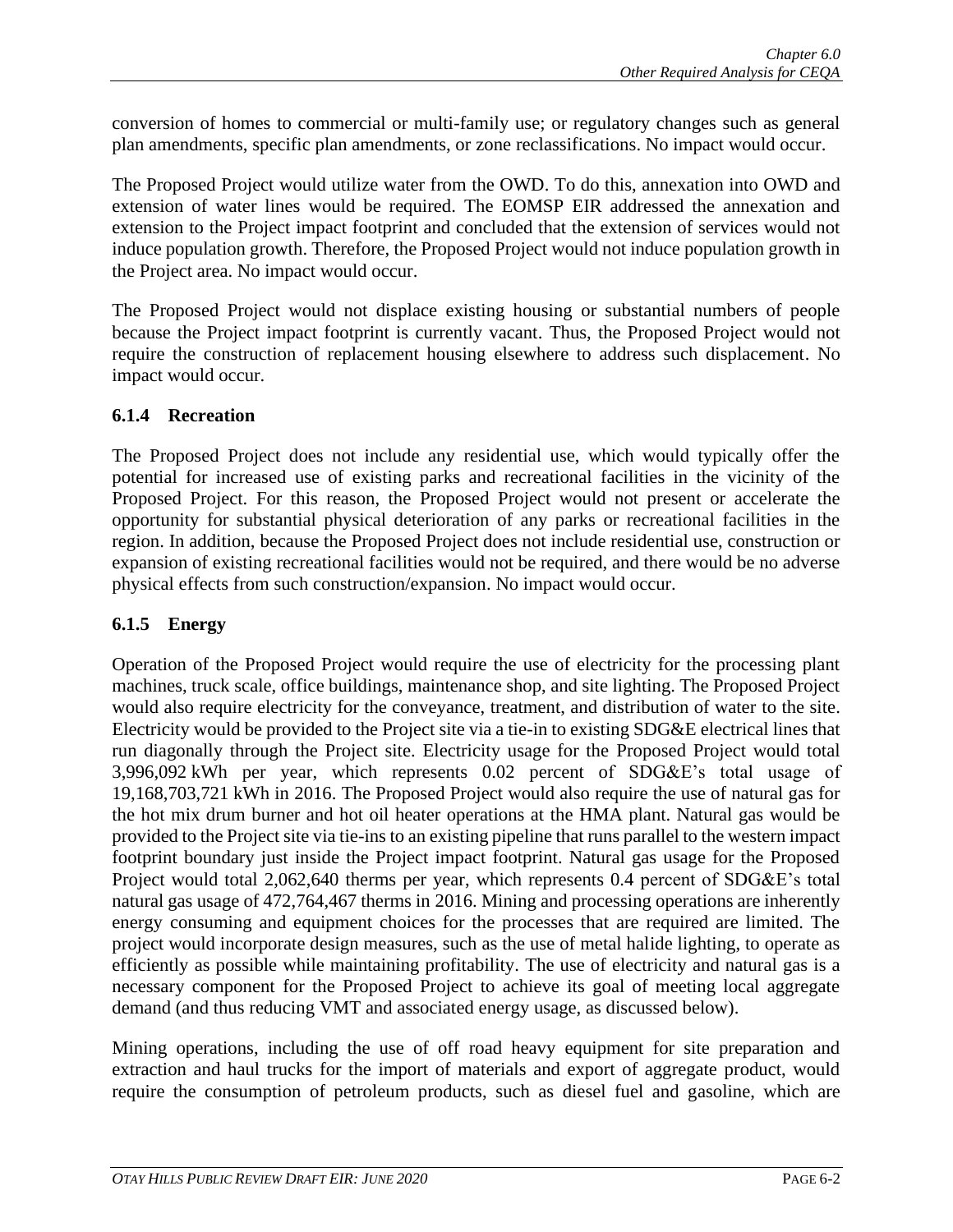conversion of homes to commercial or multi-family use; or regulatory changes such as general plan amendments, specific plan amendments, or zone reclassifications. No impact would occur.

The Proposed Project would utilize water from the OWD. To do this, annexation into OWD and extension of water lines would be required. The EOMSP EIR addressed the annexation and extension to the Project impact footprint and concluded that the extension of services would not induce population growth. Therefore, the Proposed Project would not induce population growth in the Project area. No impact would occur.

The Proposed Project would not displace existing housing or substantial numbers of people because the Project impact footprint is currently vacant. Thus, the Proposed Project would not require the construction of replacement housing elsewhere to address such displacement. No impact would occur.

#### **6.1.4 Recreation**

The Proposed Project does not include any residential use, which would typically offer the potential for increased use of existing parks and recreational facilities in the vicinity of the Proposed Project. For this reason, the Proposed Project would not present or accelerate the opportunity for substantial physical deterioration of any parks or recreational facilities in the region. In addition, because the Proposed Project does not include residential use, construction or expansion of existing recreational facilities would not be required, and there would be no adverse physical effects from such construction/expansion. No impact would occur.

### **6.1.5 Energy**

Operation of the Proposed Project would require the use of electricity for the processing plant machines, truck scale, office buildings, maintenance shop, and site lighting. The Proposed Project would also require electricity for the conveyance, treatment, and distribution of water to the site. Electricity would be provided to the Project site via a tie-in to existing SDG&E electrical lines that run diagonally through the Project site. Electricity usage for the Proposed Project would total 3,996,092 kWh per year, which represents 0.02 percent of SDG&E's total usage of 19,168,703,721 kWh in 2016. The Proposed Project would also require the use of natural gas for the hot mix drum burner and hot oil heater operations at the HMA plant. Natural gas would be provided to the Project site via tie-ins to an existing pipeline that runs parallel to the western impact footprint boundary just inside the Project impact footprint. Natural gas usage for the Proposed Project would total 2,062,640 therms per year, which represents 0.4 percent of SDG&E's total natural gas usage of 472,764,467 therms in 2016. Mining and processing operations are inherently energy consuming and equipment choices for the processes that are required are limited. The project would incorporate design measures, such as the use of metal halide lighting, to operate as efficiently as possible while maintaining profitability. The use of electricity and natural gas is a necessary component for the Proposed Project to achieve its goal of meeting local aggregate demand (and thus reducing VMT and associated energy usage, as discussed below).

Mining operations, including the use of off road heavy equipment for site preparation and extraction and haul trucks for the import of materials and export of aggregate product, would require the consumption of petroleum products, such as diesel fuel and gasoline, which are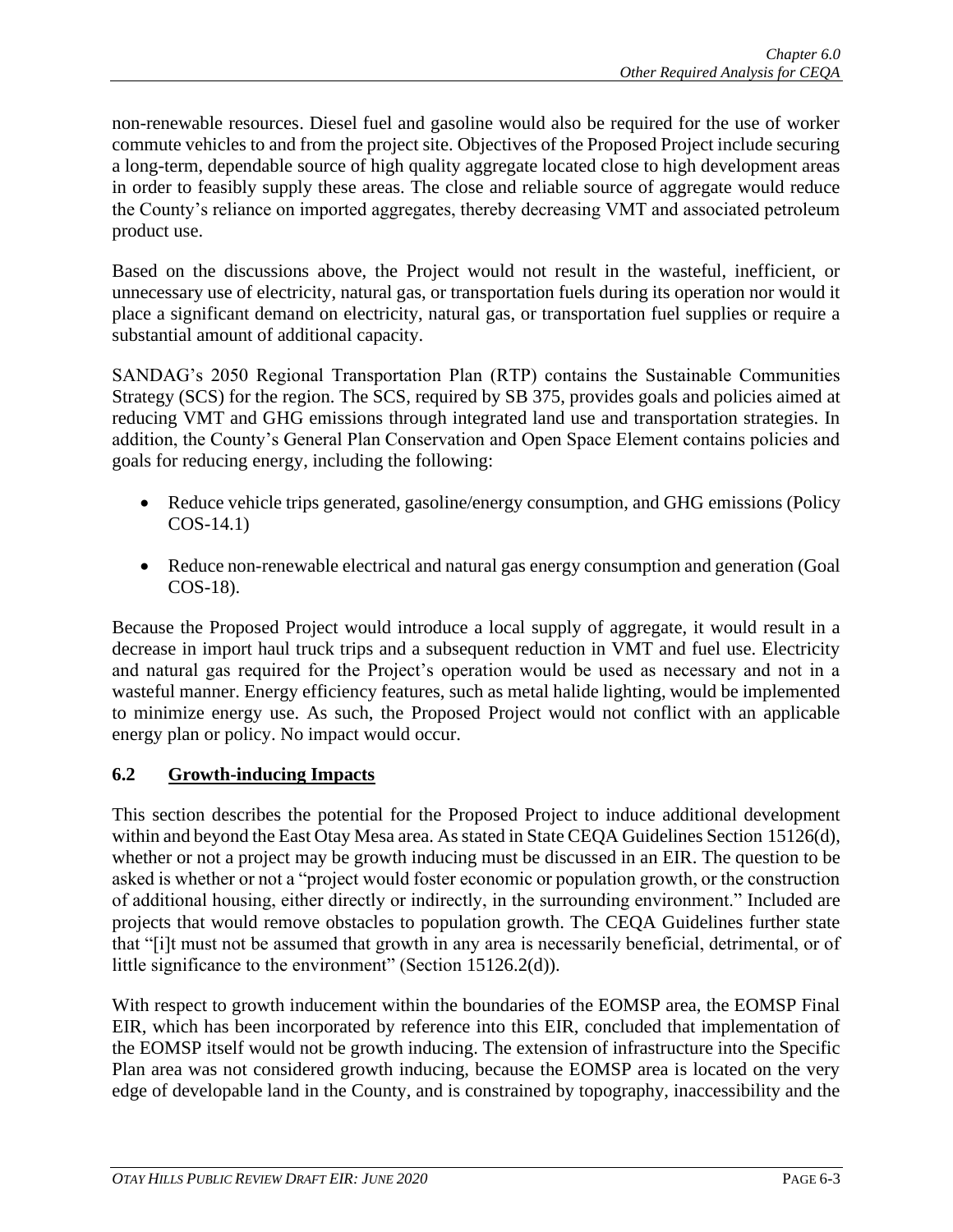non-renewable resources. Diesel fuel and gasoline would also be required for the use of worker commute vehicles to and from the project site. Objectives of the Proposed Project include securing a long-term, dependable source of high quality aggregate located close to high development areas in order to feasibly supply these areas. The close and reliable source of aggregate would reduce the County's reliance on imported aggregates, thereby decreasing VMT and associated petroleum product use.

Based on the discussions above, the Project would not result in the wasteful, inefficient, or unnecessary use of electricity, natural gas, or transportation fuels during its operation nor would it place a significant demand on electricity, natural gas, or transportation fuel supplies or require a substantial amount of additional capacity.

SANDAG's 2050 Regional Transportation Plan (RTP) contains the Sustainable Communities Strategy (SCS) for the region. The SCS, required by SB 375, provides goals and policies aimed at reducing VMT and GHG emissions through integrated land use and transportation strategies. In addition, the County's General Plan Conservation and Open Space Element contains policies and goals for reducing energy, including the following:

- Reduce vehicle trips generated, gasoline/energy consumption, and GHG emissions (Policy COS-14.1)
- Reduce non-renewable electrical and natural gas energy consumption and generation (Goal COS-18).

Because the Proposed Project would introduce a local supply of aggregate, it would result in a decrease in import haul truck trips and a subsequent reduction in VMT and fuel use. Electricity and natural gas required for the Project's operation would be used as necessary and not in a wasteful manner. Energy efficiency features, such as metal halide lighting, would be implemented to minimize energy use. As such, the Proposed Project would not conflict with an applicable energy plan or policy. No impact would occur.

### **6.2 Growth-inducing Impacts**

This section describes the potential for the Proposed Project to induce additional development within and beyond the East Otay Mesa area. As stated in State CEQA Guidelines Section 15126(d), whether or not a project may be growth inducing must be discussed in an EIR. The question to be asked is whether or not a "project would foster economic or population growth, or the construction of additional housing, either directly or indirectly, in the surrounding environment." Included are projects that would remove obstacles to population growth. The CEQA Guidelines further state that "[i]t must not be assumed that growth in any area is necessarily beneficial, detrimental, or of little significance to the environment" (Section 15126.2(d)).

With respect to growth inducement within the boundaries of the EOMSP area, the EOMSP Final EIR, which has been incorporated by reference into this EIR, concluded that implementation of the EOMSP itself would not be growth inducing. The extension of infrastructure into the Specific Plan area was not considered growth inducing, because the EOMSP area is located on the very edge of developable land in the County, and is constrained by topography, inaccessibility and the